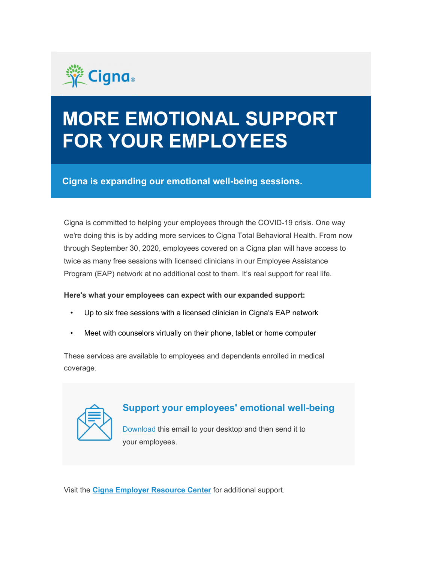

## MORE EMOTIONAL SUPPORT FOR YOUR EMPLOYEES

Cigna is expanding our emotional well-being sessions.

Cigna is committed to helping your employees through the COVID-19 crisis. One way we're doing this is by adding more services to Cigna Total Behavioral Health. From now through September 30, 2020, employees covered on a Cigna plan will have access to twice as many free sessions with licensed clinicians in our Employee Assistance Program (EAP) network at no additional cost to them. It's real support for real life.

## Here's what your employees can expect with our expanded support:

- Up to six free sessions with a licensed clinician in Cigna's EAP network
- Meet with counselors virtually on their phone, tablet or home computer

These services are available to employees and dependents enrolled in medical coverage.



## Support your employees' emotional well-being

Download this email to your desktop and then send it to your employees.

Visit the Cigna Employer Resource Center for additional support.